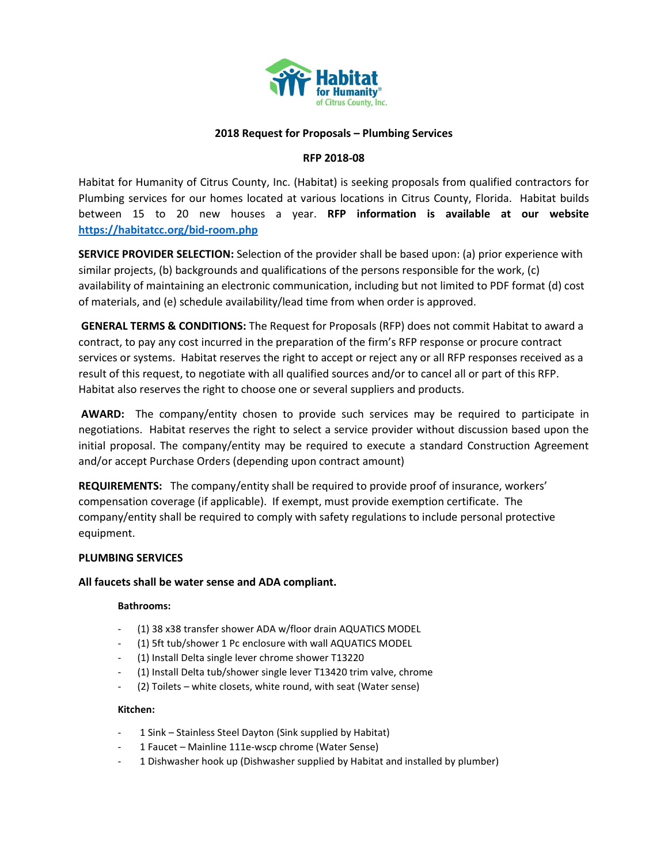

# **2018 Request for Proposals – Plumbing Services**

### **RFP 2018-08**

Habitat for Humanity of Citrus County, Inc. (Habitat) is seeking proposals from qualified contractors for Plumbing services for our homes located at various locations in Citrus County, Florida. Habitat builds between 15 to 20 new houses a year. **RFP information is available at our website <https://habitatcc.org/bid-room.php>**

**SERVICE PROVIDER SELECTION:** Selection of the provider shall be based upon: (a) prior experience with similar projects, (b) backgrounds and qualifications of the persons responsible for the work, (c) availability of maintaining an electronic communication, including but not limited to PDF format (d) cost of materials, and (e) schedule availability/lead time from when order is approved.

**GENERAL TERMS & CONDITIONS:** The Request for Proposals (RFP) does not commit Habitat to award a contract, to pay any cost incurred in the preparation of the firm's RFP response or procure contract services or systems. Habitat reserves the right to accept or reject any or all RFP responses received as a result of this request, to negotiate with all qualified sources and/or to cancel all or part of this RFP. Habitat also reserves the right to choose one or several suppliers and products.

**AWARD:** The company/entity chosen to provide such services may be required to participate in negotiations. Habitat reserves the right to select a service provider without discussion based upon the initial proposal. The company/entity may be required to execute a standard Construction Agreement and/or accept Purchase Orders (depending upon contract amount)

**REQUIREMENTS:** The company/entity shall be required to provide proof of insurance, workers' compensation coverage (if applicable). If exempt, must provide exemption certificate. The company/entity shall be required to comply with safety regulations to include personal protective equipment.

### **PLUMBING SERVICES**

### **All faucets shall be water sense and ADA compliant.**

#### **Bathrooms:**

- (1) 38 x38 transfer shower ADA w/floor drain AQUATICS MODEL
- (1) 5ft tub/shower 1 Pc enclosure with wall AQUATICS MODEL
- (1) Install Delta single lever chrome shower T13220
- (1) Install Delta tub/shower single lever T13420 trim valve, chrome
- (2) Toilets white closets, white round, with seat (Water sense)

#### **Kitchen:**

- 1 Sink Stainless Steel Dayton (Sink supplied by Habitat)
- 1 Faucet Mainline 111e-wscp chrome (Water Sense)
- 1 Dishwasher hook up (Dishwasher supplied by Habitat and installed by plumber)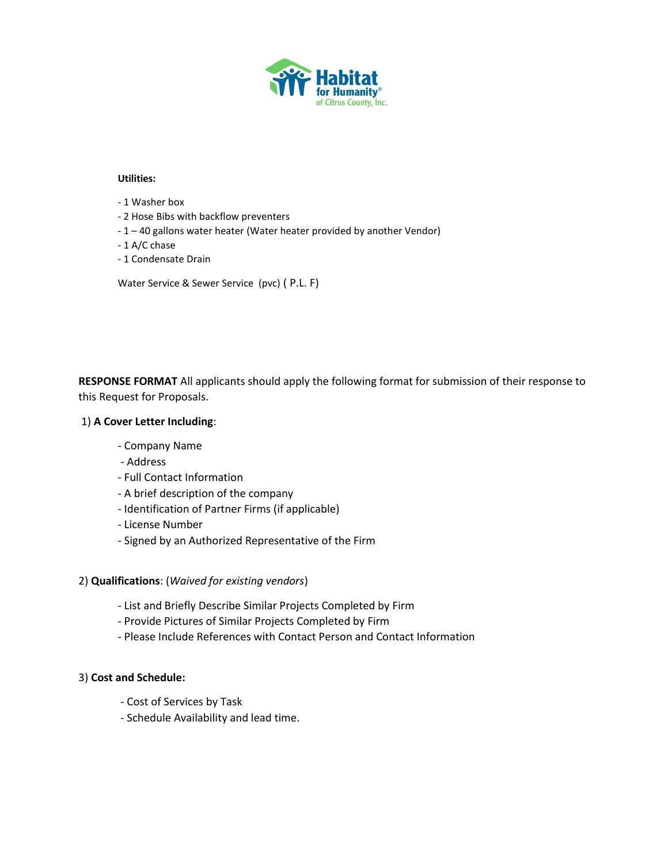

### **Utilities:**

- 1 Washer box
- 2 Hose Bibs with backflow preventers
- 1 40 gallons water heater (Water heater provided by another Vendor)
- 1 A/C chase
- 1 Condensate Drain

Water Service & Sewer Service (pvc) ( P.L. F)

**RESPONSE FORMAT** All applicants should apply the following format for submission of their response to this Request for Proposals.

# 1) **A Cover Letter Including**:

- Company Name
- Address
- Full Contact Information
- A brief description of the company
- Identification of Partner Firms (if applicable)
- License Number
- Signed by an Authorized Representative of the Firm

# 2) **Qualifications**: (*Waived for existing vendors*)

- List and Briefly Describe Similar Projects Completed by Firm
- Provide Pictures of Similar Projects Completed by Firm
- Please Include References with Contact Person and Contact Information

# 3) **Cost and Schedule:**

- Cost of Services by Task
- Schedule Availability and lead time.